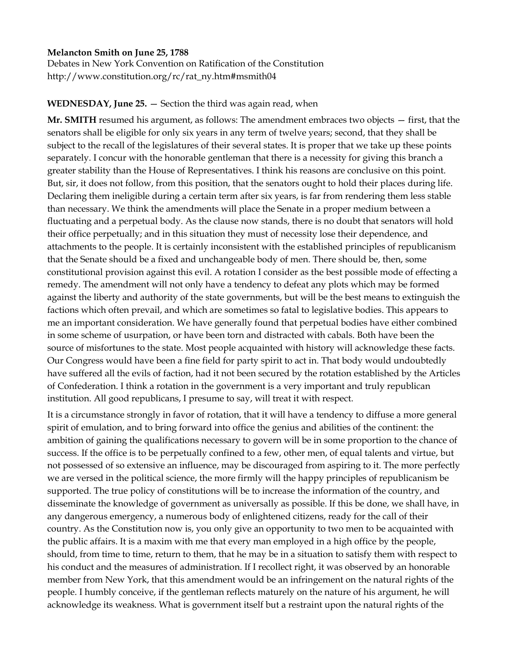## **Melancton Smith on June 25, 1788**

Debates in New York Convention on Ratification of the Constitution http://www.constitution.org/rc/rat\_ny.htm#msmith04

## **WEDNESDAY, June 25.** — Section the third was again read, when

**Mr. SMITH** resumed his argument, as follows: The amendment embraces two objects — first, that the senators shall be eligible for only six years in any term of twelve years; second, that they shall be subject to the recall of the legislatures of their several states. It is proper that we take up these points separately. I concur with the honorable gentleman that there is a necessity for giving this branch a greater stability than the House of Representatives. I think his reasons are conclusive on this point. But, sir, it does not follow, from this position, that the senators ought to hold their places during life. Declaring them ineligible during a certain term after six years, is far from rendering them less stable than necessary. We think the amendments will place the Senate in a proper medium between a fluctuating and a perpetual body. As the clause now stands, there is no doubt that senators will hold their office perpetually; and in this situation they must of necessity lose their dependence, and attachments to the people. It is certainly inconsistent with the established principles of republicanism that the Senate should be a fixed and unchangeable body of men. There should be, then, some constitutional provision against this evil. A rotation I consider as the best possible mode of effecting a remedy. The amendment will not only have a tendency to defeat any plots which may be formed against the liberty and authority of the state governments, but will be the best means to extinguish the factions which often prevail, and which are sometimes so fatal to legislative bodies. This appears to me an important consideration. We have generally found that perpetual bodies have either combined in some scheme of usurpation, or have been torn and distracted with cabals. Both have been the source of misfortunes to the state. Most people acquainted with history will acknowledge these facts. Our Congress would have been a fine field for party spirit to act in. That body would undoubtedly have suffered all the evils of faction, had it not been secured by the rotation established by the Articles of Confederation. I think a rotation in the government is a very important and truly republican institution. All good republicans, I presume to say, will treat it with respect.

It is a circumstance strongly in favor of rotation, that it will have a tendency to diffuse a more general spirit of emulation, and to bring forward into office the genius and abilities of the continent: the ambition of gaining the qualifications necessary to govern will be in some proportion to the chance of success. If the office is to be perpetually confined to a few, other men, of equal talents and virtue, but not possessed of so extensive an influence, may be discouraged from aspiring to it. The more perfectly we are versed in the political science, the more firmly will the happy principles of republicanism be supported. The true policy of constitutions will be to increase the information of the country, and disseminate the knowledge of government as universally as possible. If this be done, we shall have, in any dangerous emergency, a numerous body of enlightened citizens, ready for the call of their country. As the Constitution now is, you only give an opportunity to two men to be acquainted with the public affairs. It is a maxim with me that every man employed in a high office by the people, should, from time to time, return to them, that he may be in a situation to satisfy them with respect to his conduct and the measures of administration. If I recollect right, it was observed by an honorable member from New York, that this amendment would be an infringement on the natural rights of the people. I humbly conceive, if the gentleman reflects maturely on the nature of his argument, he will acknowledge its weakness. What is government itself but a restraint upon the natural rights of the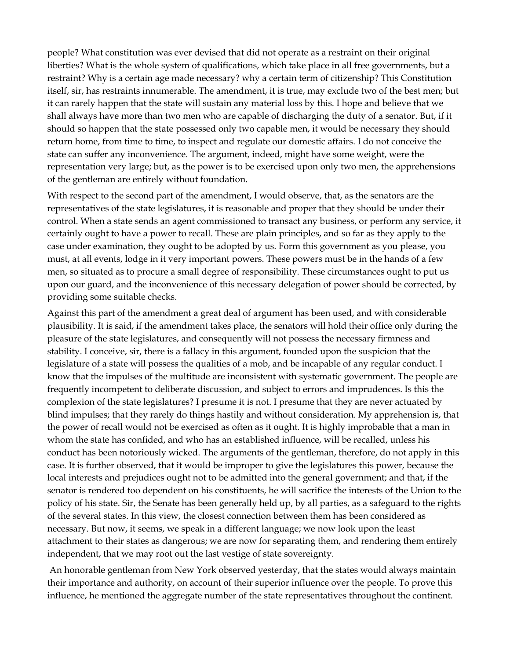people? What constitution was ever devised that did not operate as a restraint on their original liberties? What is the whole system of qualifications, which take place in all free governments, but a restraint? Why is a certain age made necessary? why a certain term of citizenship? This Constitution itself, sir, has restraints innumerable. The amendment, it is true, may exclude two of the best men; but it can rarely happen that the state will sustain any material loss by this. I hope and believe that we shall always have more than two men who are capable of discharging the duty of a senator. But, if it should so happen that the state possessed only two capable men, it would be necessary they should return home, from time to time, to inspect and regulate our domestic affairs. I do not conceive the state can suffer any inconvenience. The argument, indeed, might have some weight, were the representation very large; but, as the power is to be exercised upon only two men, the apprehensions of the gentleman are entirely without foundation.

With respect to the second part of the amendment, I would observe, that, as the senators are the representatives of the state legislatures, it is reasonable and proper that they should be under their control. When a state sends an agent commissioned to transact any business, or perform any service, it certainly ought to have a power to recall. These are plain principles, and so far as they apply to the case under examination, they ought to be adopted by us. Form this government as you please, you must, at all events, lodge in it very important powers. These powers must be in the hands of a few men, so situated as to procure a small degree of responsibility. These circumstances ought to put us upon our guard, and the inconvenience of this necessary delegation of power should be corrected, by providing some suitable checks.

Against this part of the amendment a great deal of argument has been used, and with considerable plausibility. It is said, if the amendment takes place, the senators will hold their office only during the pleasure of the state legislatures, and consequently will not possess the necessary firmness and stability. I conceive, sir, there is a fallacy in this argument, founded upon the suspicion that the legislature of a state will possess the qualities of a mob, and be incapable of any regular conduct. I know that the impulses of the multitude are inconsistent with systematic government. The people are frequently incompetent to deliberate discussion, and subject to errors and imprudences. Is this the complexion of the state legislatures? I presume it is not. I presume that they are never actuated by blind impulses; that they rarely do things hastily and without consideration. My apprehension is, that the power of recall would not be exercised as often as it ought. It is highly improbable that a man in whom the state has confided, and who has an established influence, will be recalled, unless his conduct has been notoriously wicked. The arguments of the gentleman, therefore, do not apply in this case. It is further observed, that it would be improper to give the legislatures this power, because the local interests and prejudices ought not to be admitted into the general government; and that, if the senator is rendered too dependent on his constituents, he will sacrifice the interests of the Union to the policy of his state. Sir, the Senate has been generally held up, by all parties, as a safeguard to the rights of the several states. In this view, the closest connection between them has been considered as necessary. But now, it seems, we speak in a different language; we now look upon the least attachment to their states as dangerous; we are now for separating them, and rendering them entirely independent, that we may root out the last vestige of state sovereignty.

 An honorable gentleman from New York observed yesterday, that the states would always maintain their importance and authority, on account of their superior influence over the people. To prove this influence, he mentioned the aggregate number of the state representatives throughout the continent.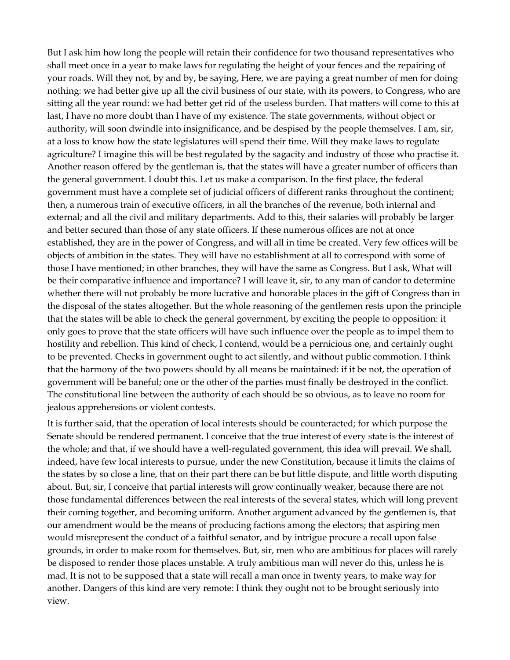But I ask him how long the people will retain their confidence for two thousand representatives who shall meet once in a year to make laws for regulating the height of your fences and the repairing of your roads. Will they not, by and by, be saying, Here, we are paying a great number of men for doing nothing: we had better give up all the civil business of our state, with its powers, to Congress, who are sitting all the year round: we had better get rid of the useless burden. That matters will come to this at last, I have no more doubt than I have of my existence. The state governments, without object or authority, will soon dwindle into insignificance, and be despised by the people themselves. I am, sir, at a loss to know how the state legislatures will spend their time. Will they make laws to regulate agriculture? I imagine this will be best regulated by the sagacity and industry of those who practise it. Another reason offered by the gentleman is, that the states will have a greater number of officers than the general government. I doubt this. Let us make a comparison. In the first place, the federal government must have a complete set of judicial officers of different ranks throughout the continent; then, a numerous train of executive officers, in all the branches of the revenue, both internal and external; and all the civil and military departments. Add to this, their salaries will probably be larger and better secured than those of any state officers. If these numerous offices are not at once established, they are in the power of Congress, and will all in time be created. Very few offices will be objects of ambition in the states. They will have no establishment at all to correspond with some of those I have mentioned; in other branches, they will have the same as Congress. But I ask, What will be their comparative influence and importance? I will leave it, sir, to any man of candor to determine whether there will not probably be more lucrative and honorable places in the gift of Congress than in the disposal of the states altogether. But the whole reasoning of the gentlemen rests upon the principle that the states will be able to check the general government, by exciting the people to opposition: it only goes to prove that the state officers will have such influence over the people as to impel them to hostility and rebellion. This kind of check, I contend, would be a pernicious one, and certainly ought to be prevented. Checks in government ought to act silently, and without public commotion. I think that the harmony of the two powers should by all means be maintained: if it be not, the operation of government will be baneful; one or the other of the parties must finally be destroyed in the conflict. The constitutional line between the authority of each should be so obvious, as to leave no room for jealous apprehensions or violent contests.

It is further said, that the operation of local interests should be counteracted; for which purpose the Senate should be rendered permanent. I conceive that the true interest of every state is the interest of the whole; and that, if we should have a well-regulated government, this idea will prevail. We shall, indeed, have few local interests to pursue, under the new Constitution, because it limits the claims of the states by so close a line, that on their part there can be but little dispute, and little worth disputing about. But, sir, I conceive that partial interests will grow continually weaker, because there are not those fundamental differences between the real interests of the several states, which will long prevent their coming together, and becoming uniform. Another argument advanced by the gentlemen is, that our amendment would be the means of producing factions among the electors; that aspiring men would misrepresent the conduct of a faithful senator, and by intrigue procure a recall upon false grounds, in order to make room for themselves. But, sir, men who are ambitious for places will rarely be disposed to render those places unstable. A truly ambitious man will never do this, unless he is mad. It is not to be supposed that a state will recall a man once in twenty years, to make way for another. Dangers of this kind are very remote: I think they ought not to be brought seriously into view.